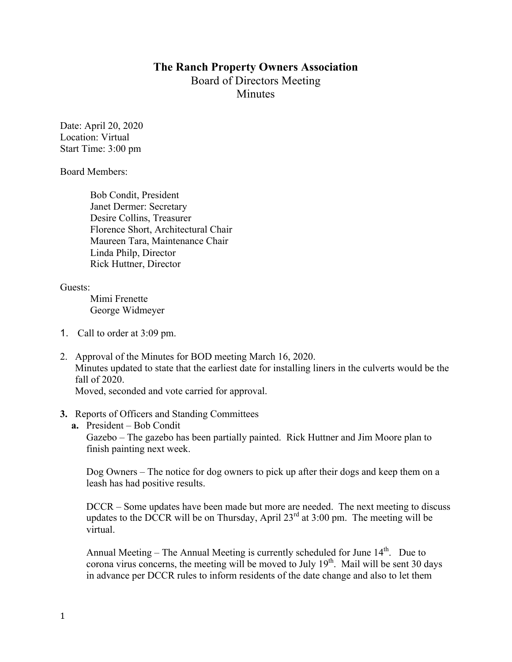## **The Ranch Property Owners Association** Board of Directors Meeting Minutes

Date: April 20, 2020 Location: Virtual Start Time: 3:00 pm

Board Members:

Bob Condit, President Janet Dermer: Secretary Desire Collins, Treasurer Florence Short, Architectural Chair Maureen Tara, Maintenance Chair Linda Philp, Director Rick Huttner, Director

Guests:

Mimi Frenette George Widmeyer

- 1. Call to order at 3:09 pm.
- 2. Approval of the Minutes for BOD meeting March 16, 2020. Minutes updated to state that the earliest date for installing liners in the culverts would be the fall of 2020. Moved, seconded and vote carried for approval.
- **3.** Reports of Officers and Standing Committees
	- **a.** President Bob Condit

Gazebo – The gazebo has been partially painted. Rick Huttner and Jim Moore plan to finish painting next week.

Dog Owners – The notice for dog owners to pick up after their dogs and keep them on a leash has had positive results.

DCCR – Some updates have been made but more are needed. The next meeting to discuss updates to the DCCR will be on Thursday, April  $23<sup>rd</sup>$  at 3:00 pm. The meeting will be virtual.

Annual Meeting – The Annual Meeting is currently scheduled for June  $14<sup>th</sup>$ . Due to corona virus concerns, the meeting will be moved to July  $19<sup>th</sup>$ . Mail will be sent 30 days in advance per DCCR rules to inform residents of the date change and also to let them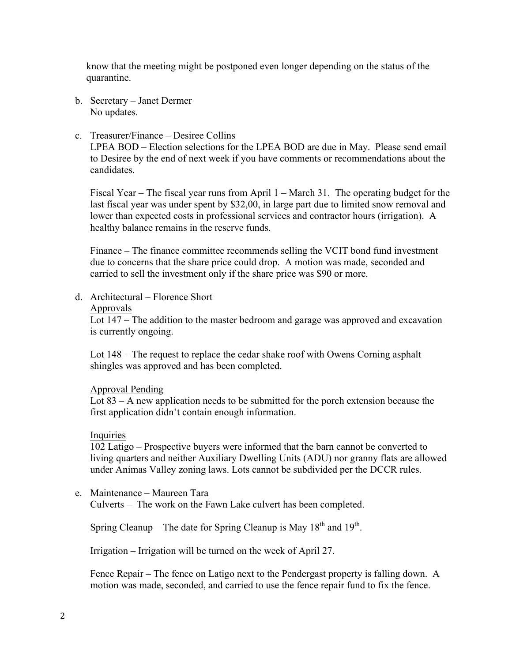know that the meeting might be postponed even longer depending on the status of the quarantine.

- b. Secretary Janet Dermer No updates.
- c. Treasurer/Finance Desiree Collins

LPEA BOD – Election selections for the LPEA BOD are due in May. Please send email to Desiree by the end of next week if you have comments or recommendations about the candidates.

Fiscal Year – The fiscal year runs from April 1 – March 31. The operating budget for the last fiscal year was under spent by \$32,00, in large part due to limited snow removal and lower than expected costs in professional services and contractor hours (irrigation). A healthy balance remains in the reserve funds.

Finance – The finance committee recommends selling the VCIT bond fund investment due to concerns that the share price could drop. A motion was made, seconded and carried to sell the investment only if the share price was \$90 or more.

d. Architectural – Florence Short

## Approvals

Lot 147 – The addition to the master bedroom and garage was approved and excavation is currently ongoing.

Lot 148 – The request to replace the cedar shake roof with Owens Corning asphalt shingles was approved and has been completed.

## Approval Pending

Lot 83 – A new application needs to be submitted for the porch extension because the first application didn't contain enough information.

## Inquiries

102 Latigo – Prospective buyers were informed that the barn cannot be converted to living quarters and neither Auxiliary Dwelling Units (ADU) nor granny flats are allowed under Animas Valley zoning laws. Lots cannot be subdivided per the DCCR rules.

e. Maintenance – Maureen Tara Culverts – The work on the Fawn Lake culvert has been completed.

Spring Cleanup – The date for Spring Cleanup is May  $18<sup>th</sup>$  and  $19<sup>th</sup>$ .

Irrigation – Irrigation will be turned on the week of April 27.

Fence Repair – The fence on Latigo next to the Pendergast property is falling down. A motion was made, seconded, and carried to use the fence repair fund to fix the fence.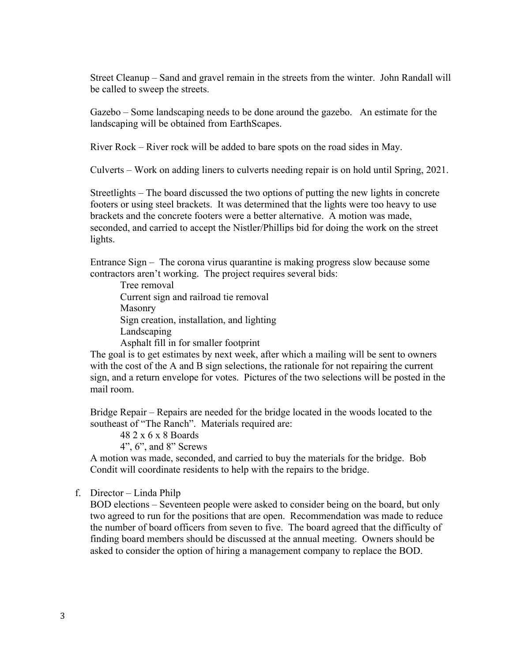Street Cleanup – Sand and gravel remain in the streets from the winter. John Randall will be called to sweep the streets.

Gazebo – Some landscaping needs to be done around the gazebo. An estimate for the landscaping will be obtained from EarthScapes.

River Rock – River rock will be added to bare spots on the road sides in May.

Culverts – Work on adding liners to culverts needing repair is on hold until Spring, 2021.

Streetlights – The board discussed the two options of putting the new lights in concrete footers or using steel brackets. It was determined that the lights were too heavy to use brackets and the concrete footers were a better alternative. A motion was made, seconded, and carried to accept the Nistler/Phillips bid for doing the work on the street lights.

Entrance Sign – The corona virus quarantine is making progress slow because some contractors aren't working. The project requires several bids:

Tree removal

Current sign and railroad tie removal Masonry Sign creation, installation, and lighting Landscaping Asphalt fill in for smaller footprint

The goal is to get estimates by next week, after which a mailing will be sent to owners with the cost of the A and B sign selections, the rationale for not repairing the current sign, and a return envelope for votes. Pictures of the two selections will be posted in the mail room.

Bridge Repair – Repairs are needed for the bridge located in the woods located to the southeast of "The Ranch". Materials required are:

48 2 x 6 x 8 Boards

4", 6", and 8" Screws

A motion was made, seconded, and carried to buy the materials for the bridge. Bob Condit will coordinate residents to help with the repairs to the bridge.

f. Director – Linda Philp

BOD elections – Seventeen people were asked to consider being on the board, but only two agreed to run for the positions that are open. Recommendation was made to reduce the number of board officers from seven to five. The board agreed that the difficulty of finding board members should be discussed at the annual meeting. Owners should be asked to consider the option of hiring a management company to replace the BOD.